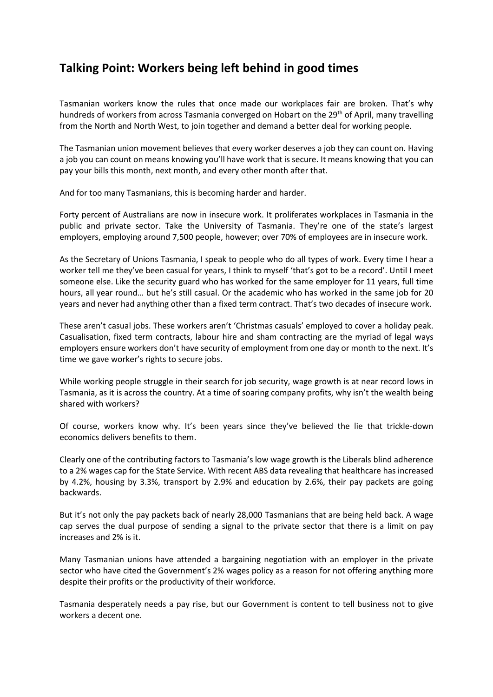## **Talking Point: Workers being left behind in good times**

Tasmanian workers know the rules that once made our workplaces fair are broken. That's why hundreds of workers from across Tasmania converged on Hobart on the 29<sup>th</sup> of April, many travelling from the North and North West, to join together and demand a better deal for working people.

The Tasmanian union movement believes that every worker deserves a job they can count on. Having a job you can count on means knowing you'll have work that is secure. It means knowing that you can pay your bills this month, next month, and every other month after that.

And for too many Tasmanians, this is becoming harder and harder.

Forty percent of Australians are now in insecure work. It proliferates workplaces in Tasmania in the public and private sector. Take the University of Tasmania. They're one of the state's largest employers, employing around 7,500 people, however; over 70% of employees are in insecure work.

As the Secretary of Unions Tasmania, I speak to people who do all types of work. Every time I hear a worker tell me they've been casual for years, I think to myself 'that's got to be a record'. Until I meet someone else. Like the security guard who has worked for the same employer for 11 years, full time hours, all year round… but he's still casual. Or the academic who has worked in the same job for 20 years and never had anything other than a fixed term contract. That's two decades of insecure work.

These aren't casual jobs. These workers aren't 'Christmas casuals' employed to cover a holiday peak. Casualisation, fixed term contracts, labour hire and sham contracting are the myriad of legal ways employers ensure workers don't have security of employment from one day or month to the next. It's time we gave worker's rights to secure jobs.

While working people struggle in their search for job security, wage growth is at near record lows in Tasmania, as it is across the country. At a time of soaring company profits, why isn't the wealth being shared with workers?

Of course, workers know why. It's been years since they've believed the lie that trickle-down economics delivers benefits to them.

Clearly one of the contributing factors to Tasmania's low wage growth is the Liberals blind adherence to a 2% wages cap for the State Service. With recent ABS data revealing that healthcare has increased by 4.2%, housing by 3.3%, transport by 2.9% and education by 2.6%, their pay packets are going backwards.

But it's not only the pay packets back of nearly 28,000 Tasmanians that are being held back. A wage cap serves the dual purpose of sending a signal to the private sector that there is a limit on pay increases and 2% is it.

Many Tasmanian unions have attended a bargaining negotiation with an employer in the private sector who have cited the Government's 2% wages policy as a reason for not offering anything more despite their profits or the productivity of their workforce.

Tasmania desperately needs a pay rise, but our Government is content to tell business not to give workers a decent one.